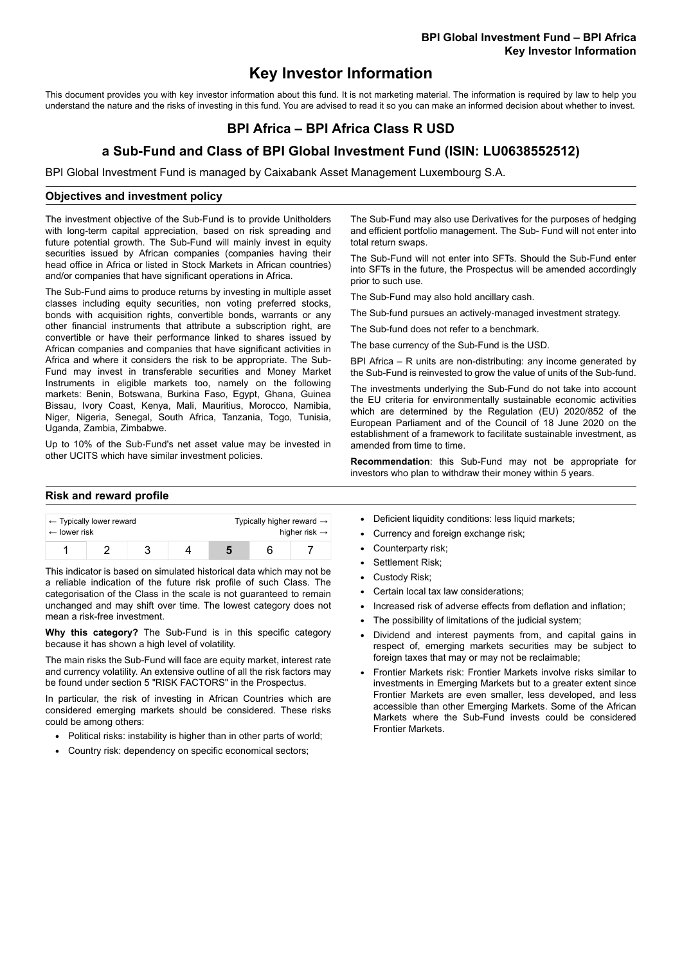# **Key Investor Information**

This document provides you with key investor information about this fund. It is not marketing material. The information is required by law to help you understand the nature and the risks of investing in this fund. You are advised to read it so you can make an informed decision about whether to invest.

## **BPI Africa – BPI Africa Class R USD**

### **a Sub-Fund and Class of BPI Global Investment Fund (ISIN: LU0638552512)**

BPI Global Investment Fund is managed by Caixabank Asset Management Luxembourg S.A.

#### **Objectives and investment policy**

The investment objective of the Sub-Fund is to provide Unitholders with long-term capital appreciation, based on risk spreading and future potential growth. The Sub-Fund will mainly invest in equity securities issued by African companies (companies having their head office in Africa or listed in Stock Markets in African countries) and/or companies that have significant operations in Africa.

The Sub-Fund aims to produce returns by investing in multiple asset classes including equity securities, non voting preferred stocks, bonds with acquisition rights, convertible bonds, warrants or any other financial instruments that attribute a subscription right, are convertible or have their performance linked to shares issued by African companies and companies that have significant activities in Africa and where it considers the risk to be appropriate. The Sub-Fund may invest in transferable securities and Money Market Instruments in eligible markets too, namely on the following markets: Benin, Botswana, Burkina Faso, Egypt, Ghana, Guinea Bissau, Ivory Coast, Kenya, Mali, Mauritius, Morocco, Namibia, Niger, Nigeria, Senegal, South Africa, Tanzania, Togo, Tunisia, Uganda, Zambia, Zimbabwe.

Up to 10% of the Sub-Fund's net asset value may be invested in other UCITS which have similar investment policies.

#### **Risk and reward profile**

| $\leftarrow$ Typically lower reward |  |  |  | Typically higher reward $\rightarrow$ |  |  |
|-------------------------------------|--|--|--|---------------------------------------|--|--|
| $\leftarrow$ lower risk             |  |  |  | higher risk $\rightarrow$             |  |  |
|                                     |  |  |  |                                       |  |  |

This indicator is based on simulated historical data which may not be a reliable indication of the future risk profile of such Class. The categorisation of the Class in the scale is not guaranteed to remain unchanged and may shift over time. The lowest category does not mean a risk-free investment.

**Why this category?** The Sub-Fund is in this specific category because it has shown a high level of volatility.

The main risks the Sub-Fund will face are equity market, interest rate and currency volatility. An extensive outline of all the risk factors may be found under section 5 "RISK FACTORS" in the Prospectus.

In particular, the risk of investing in African Countries which are considered emerging markets should be considered. These risks could be among others:

- Political risks: instability is higher than in other parts of world:
- Country risk: dependency on specific economical sectors;

The Sub-Fund may also use Derivatives for the purposes of hedging and efficient portfolio management. The Sub- Fund will not enter into total return swaps.

The Sub-Fund will not enter into SFTs. Should the Sub-Fund enter into SFTs in the future, the Prospectus will be amended accordingly prior to such use.

The Sub-Fund may also hold ancillary cash.

The Sub-fund pursues an actively-managed investment strategy.

The Sub-fund does not refer to a benchmark.

The base currency of the Sub-Fund is the USD.

BPI Africa – R units are non-distributing: any income generated by the Sub-Fund is reinvested to grow the value of units of the Sub-fund.

The investments underlying the Sub-Fund do not take into account the EU criteria for environmentally sustainable economic activities which are determined by the Regulation (EU) 2020/852 of the European Parliament and of the Council of 18 June 2020 on the establishment of a framework to facilitate sustainable investment, as amended from time to time.

**Recommendation**: this Sub-Fund may not be appropriate for investors who plan to withdraw their money within 5 years.

- Deficient liquidity conditions: less liquid markets;
- Currency and foreign exchange risk;
- Counterparty risk;
- Settlement Risk:
- Custody Risk;
- Certain local tax law considerations;
- Increased risk of adverse effects from deflation and inflation;
- The possibility of limitations of the judicial system;
- Dividend and interest payments from, and capital gains in respect of, emerging markets securities may be subject to foreign taxes that may or may not be reclaimable;
- Frontier Markets risk: Frontier Markets involve risks similar to investments in Emerging Markets but to a greater extent since Frontier Markets are even smaller, less developed, and less accessible than other Emerging Markets. Some of the African Markets where the Sub-Fund invests could be considered Frontier Markets.